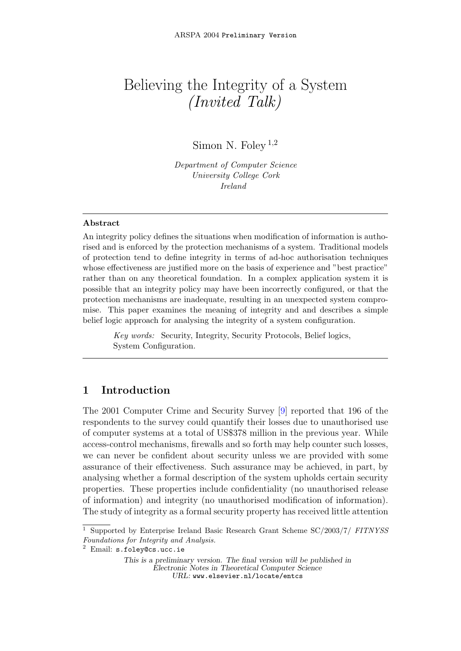# Believing the Integrity of a System (Invited Talk)

Simon N. Foley<sup>1,2</sup>

Department of Computer Science University College Cork Ireland

#### Abstract

An integrity policy defines the situations when modification of information is authorised and is enforced by the protection mechanisms of a system. Traditional models of protection tend to define integrity in terms of ad-hoc authorisation techniques whose effectiveness are justified more on the basis of experience and "best practice" rather than on any theoretical foundation. In a complex application system it is possible that an integrity policy may have been incorrectly configured, or that the protection mechanisms are inadequate, resulting in an unexpected system compromise. This paper examines the meaning of integrity and and describes a simple belief logic approach for analysing the integrity of a system configuration.

Key words: Security, Integrity, Security Protocols, Belief logics, System Configuration.

# 1 Introduction

The 2001 Computer Crime and Security Survey [\[9\]](#page-7-0) reported that 196 of the respondents to the survey could quantify their losses due to unauthorised use of computer systems at a total of US\$378 million in the previous year. While access-control mechanisms, firewalls and so forth may help counter such losses, we can never be confident about security unless we are provided with some assurance of their effectiveness. Such assurance may be achieved, in part, by analysing whether a formal description of the system upholds certain security properties. These properties include confidentiality (no unauthorised release of information) and integrity (no unauthorised modification of information). The study of integrity as a formal security property has received little attention

<sup>&</sup>lt;sup>1</sup> Supported by Enterprise Ireland Basic Research Grant Scheme SC/2003/7/ FITNYSS Foundations for Integrity and Analysis.

<sup>2</sup> Email: s.foley@cs.ucc.ie

This is a preliminary version. The final version will be published in Electronic Notes in Theoretical Computer Science URL: www.elsevier.nl/locate/entcs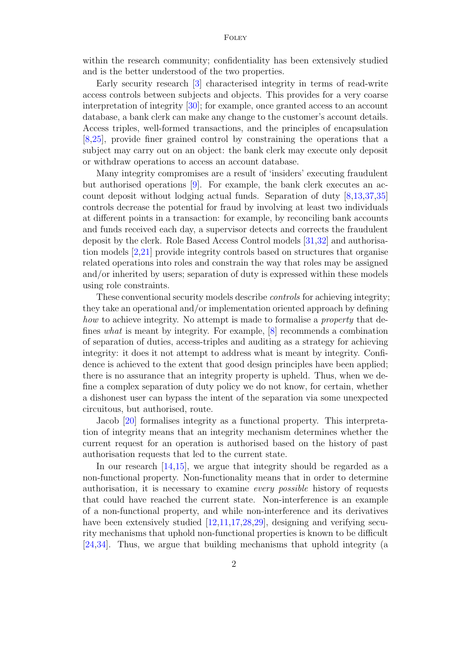within the research community; confidentiality has been extensively studied and is the better understood of the two properties.

Early security research [\[3\]](#page-7-1) characterised integrity in terms of read-write access controls between subjects and objects. This provides for a very coarse interpretation of integrity [\[30\]](#page-8-0); for example, once granted access to an account database, a bank clerk can make any change to the customer's account details. Access triples, well-formed transactions, and the principles of encapsulation [\[8](#page-7-2)[,25\]](#page-8-1), provide finer grained control by constraining the operations that a subject may carry out on an object: the bank clerk may execute only deposit or withdraw operations to access an account database.

Many integrity compromises are a result of 'insiders' executing fraudulent but authorised operations [\[9\]](#page-7-0). For example, the bank clerk executes an account deposit without lodging actual funds. Separation of duty [\[8,](#page-7-2)[13](#page-7-3)[,37](#page-9-0)[,35\]](#page-9-1) controls decrease the potential for fraud by involving at least two individuals at different points in a transaction: for example, by reconciling bank accounts and funds received each day, a supervisor detects and corrects the fraudulent deposit by the clerk. Role Based Access Control models [\[31,](#page-8-2)[32\]](#page-8-3) and authorisation models [\[2,](#page-6-0)[21\]](#page-8-4) provide integrity controls based on structures that organise related operations into roles and constrain the way that roles may be assigned and/or inherited by users; separation of duty is expressed within these models using role constraints.

These conventional security models describe controls for achieving integrity; they take an operational and/or implementation oriented approach by defining how to achieve integrity. No attempt is made to formalise a *property* that defines what is meant by integrity. For example, [\[8\]](#page-7-2) recommends a combination of separation of duties, access-triples and auditing as a strategy for achieving integrity: it does it not attempt to address what is meant by integrity. Confidence is achieved to the extent that good design principles have been applied; there is no assurance that an integrity property is upheld. Thus, when we define a complex separation of duty policy we do not know, for certain, whether a dishonest user can bypass the intent of the separation via some unexpected circuitous, but authorised, route.

Jacob [\[20\]](#page-8-5) formalises integrity as a functional property. This interpretation of integrity means that an integrity mechanism determines whether the current request for an operation is authorised based on the history of past authorisation requests that led to the current state.

In our research [\[14,](#page-7-4)[15\]](#page-7-5), we argue that integrity should be regarded as a non-functional property. Non-functionality means that in order to determine authorisation, it is necessary to examine every possible history of requests that could have reached the current state. Non-interference is an example of a non-functional property, and while non-interference and its derivatives have been extensively studied [\[12,](#page-7-6)[11,](#page-7-7)[17](#page-8-6)[,28](#page-8-7)[,29\]](#page-8-8), designing and verifying security mechanisms that uphold non-functional properties is known to be difficult [\[24,](#page-8-9)[34\]](#page-9-2). Thus, we argue that building mechanisms that uphold integrity (a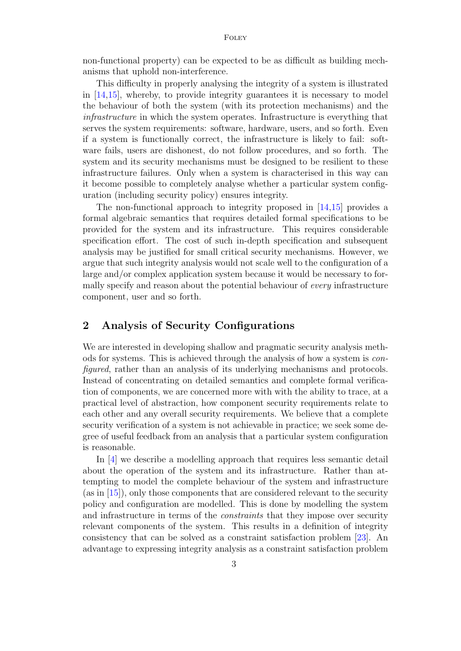non-functional property) can be expected to be as difficult as building mechanisms that uphold non-interference.

This difficulty in properly analysing the integrity of a system is illustrated in [\[14,](#page-7-4)[15\]](#page-7-5), whereby, to provide integrity guarantees it is necessary to model the behaviour of both the system (with its protection mechanisms) and the infrastructure in which the system operates. Infrastructure is everything that serves the system requirements: software, hardware, users, and so forth. Even if a system is functionally correct, the infrastructure is likely to fail: software fails, users are dishonest, do not follow procedures, and so forth. The system and its security mechanisms must be designed to be resilient to these infrastructure failures. Only when a system is characterised in this way can it become possible to completely analyse whether a particular system configuration (including security policy) ensures integrity.

The non-functional approach to integrity proposed in [\[14,](#page-7-4)[15\]](#page-7-5) provides a formal algebraic semantics that requires detailed formal specifications to be provided for the system and its infrastructure. This requires considerable specification effort. The cost of such in-depth specification and subsequent analysis may be justified for small critical security mechanisms. However, we argue that such integrity analysis would not scale well to the configuration of a large and/or complex application system because it would be necessary to formally specify and reason about the potential behaviour of every infrastructure component, user and so forth.

## 2 Analysis of Security Configurations

We are interested in developing shallow and pragmatic security analysis methods for systems. This is achieved through the analysis of how a system is configured, rather than an analysis of its underlying mechanisms and protocols. Instead of concentrating on detailed semantics and complete formal verification of components, we are concerned more with with the ability to trace, at a practical level of abstraction, how component security requirements relate to each other and any overall security requirements. We believe that a complete security verification of a system is not achievable in practice; we seek some degree of useful feedback from an analysis that a particular system configuration is reasonable.

In [\[4\]](#page-7-8) we describe a modelling approach that requires less semantic detail about the operation of the system and its infrastructure. Rather than attempting to model the complete behaviour of the system and infrastructure (as in [\[15\]](#page-7-5)), only those components that are considered relevant to the security policy and configuration are modelled. This is done by modelling the system and infrastructure in terms of the *constraints* that they impose over security relevant components of the system. This results in a definition of integrity consistency that can be solved as a constraint satisfaction problem [\[23\]](#page-8-10). An advantage to expressing integrity analysis as a constraint satisfaction problem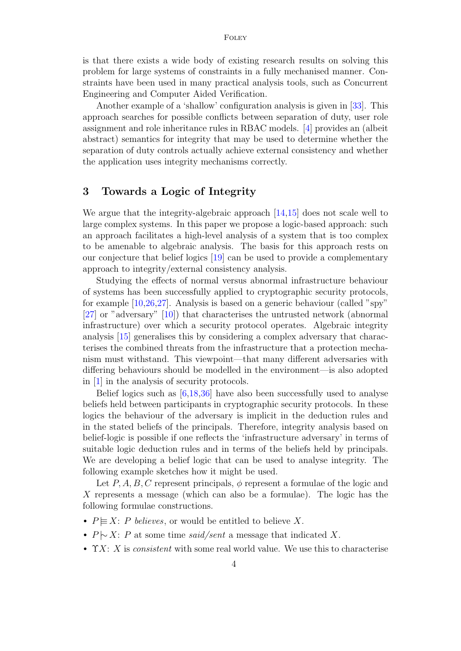is that there exists a wide body of existing research results on solving this problem for large systems of constraints in a fully mechanised manner. Constraints have been used in many practical analysis tools, such as Concurrent Engineering and Computer Aided Verification.

Another example of a 'shallow' configuration analysis is given in [\[33\]](#page-9-3). This approach searches for possible conflicts between separation of duty, user role assignment and role inheritance rules in RBAC models. [\[4\]](#page-7-8) provides an (albeit abstract) semantics for integrity that may be used to determine whether the separation of duty controls actually achieve external consistency and whether the application uses integrity mechanisms correctly.

## 3 Towards a Logic of Integrity

We argue that the integrity-algebraic approach [\[14,](#page-7-4)[15\]](#page-7-5) does not scale well to large complex systems. In this paper we propose a logic-based approach: such an approach facilitates a high-level analysis of a system that is too complex to be amenable to algebraic analysis. The basis for this approach rests on our conjecture that belief logics [\[19\]](#page-8-11) can be used to provide a complementary approach to integrity/external consistency analysis.

Studying the effects of normal versus abnormal infrastructure behaviour of systems has been successfully applied to cryptographic security protocols, for example [\[10](#page-7-9)[,26,](#page-8-12)[27\]](#page-8-13). Analysis is based on a generic behaviour (called "spy" [\[27\]](#page-8-13) or "adversary" [\[10\]](#page-7-9)) that characterises the untrusted network (abnormal infrastructure) over which a security protocol operates. Algebraic integrity analysis [\[15\]](#page-7-5) generalises this by considering a complex adversary that characterises the combined threats from the infrastructure that a protection mechanism must withstand. This viewpoint—that many different adversaries with differing behaviours should be modelled in the environment—is also adopted in [\[1\]](#page-6-1) in the analysis of security protocols.

Belief logics such as  $[6,18,36]$  $[6,18,36]$  $[6,18,36]$  have also been successfully used to analyse beliefs held between participants in cryptographic security protocols. In these logics the behaviour of the adversary is implicit in the deduction rules and in the stated beliefs of the principals. Therefore, integrity analysis based on belief-logic is possible if one reflects the 'infrastructure adversary' in terms of suitable logic deduction rules and in terms of the beliefs held by principals. We are developing a belief logic that can be used to analyse integrity. The following example sketches how it might be used.

Let P, A, B, C represent principals,  $\phi$  represent a formulae of the logic and X represents a message (which can also be a formulae). The logic has the following formulae constructions.

- $P \not\equiv X: P$  believes, or would be entitled to believe X.
- $P \rightarrow X: P$  at some time *said/sent* a message that indicated X.
- $\Upsilon X$ : X is consistent with some real world value. We use this to characterise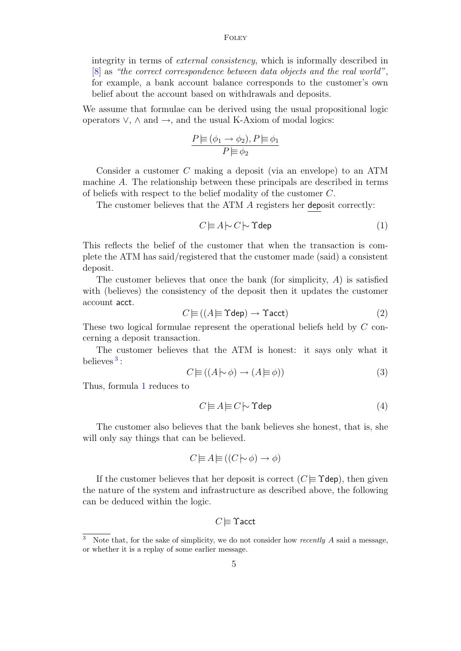#### Foley

integrity in terms of external consistency, which is informally described in [\[8\]](#page-7-2) as "the correct correspondence between data objects and the real world", for example, a bank account balance corresponds to the customer's own belief about the account based on withdrawals and deposits.

We assume that formulae can be derived using the usual propositional logic operators  $\vee$ ,  $\wedge$  and  $\rightarrow$ , and the usual K-Axiom of modal logics:

$$
\frac{P \models (\phi_1 \to \phi_2), P \models \phi_1}{P \models \phi_2}
$$

Consider a customer C making a deposit (via an envelope) to an ATM machine A. The relationship between these principals are described in terms of beliefs with respect to the belief modality of the customer C.

The customer believes that the ATM A registers her deposit correctly:

<span id="page-4-1"></span>
$$
C \equiv A \sim C \sim \text{Y deep} \tag{1}
$$

This reflects the belief of the customer that when the transaction is complete the ATM has said/registered that the customer made (said) a consistent deposit.

The customer believes that once the bank (for simplicity,  $A$ ) is satisfied with (believes) the consistency of the deposit then it updates the customer account acct.

<span id="page-4-3"></span>
$$
C \models ((A \models \Upsilon \text{dep}) \rightarrow \Upsilon \text{acct}) \tag{2}
$$

These two logical formulae represent the operational beliefs held by C concerning a deposit transaction.

<span id="page-4-2"></span>The customer believes that the ATM is honest: it says only what it believes<sup>[3](#page-4-0)</sup>:

$$
C \models ((A \sim \phi) \to (A \equiv \phi))
$$
\n<sup>(3)</sup>

Thus, formula [1](#page-4-1) reduces to

$$
C \equiv A \equiv C \sim \text{Y} \text{dep} \tag{4}
$$

The customer also believes that the bank believes she honest, that is, she will only say things that can be believed.

$$
C \not\models A \not\models ((C \not\sim \phi) \rightarrow \phi)
$$

If the customer believes that her deposit is correct ( $C \not\equiv \Upsilon$ dep), then given the nature of the system and infrastructure as described above, the following can be deduced within the logic.

$$
C\!\models\!\mathrm{Tacct}
$$

<span id="page-4-0"></span><sup>&</sup>lt;sup>3</sup> Note that, for the sake of simplicity, we do not consider how *recently A* said a message, or whether it is a replay of some earlier message.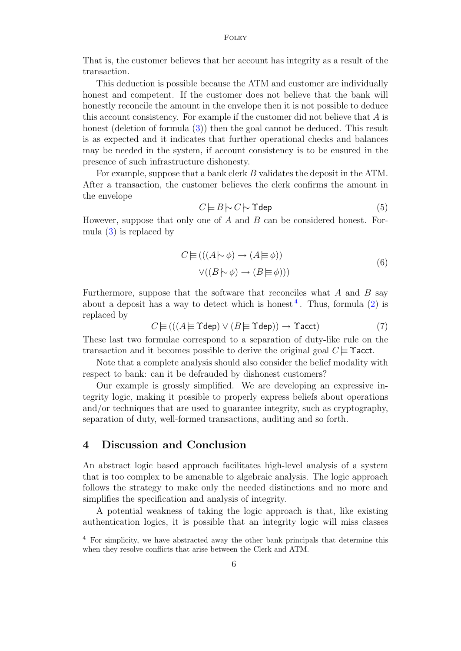That is, the customer believes that her account has integrity as a result of the transaction.

This deduction is possible because the ATM and customer are individually honest and competent. If the customer does not believe that the bank will honestly reconcile the amount in the envelope then it is not possible to deduce this account consistency. For example if the customer did not believe that A is honest (deletion of formula [\(3\)](#page-4-2)) then the goal cannot be deduced. This result is as expected and it indicates that further operational checks and balances may be needed in the system, if account consistency is to be ensured in the presence of such infrastructure dishonesty.

For example, suppose that a bank clerk B validates the deposit in the ATM. After a transaction, the customer believes the clerk confirms the amount in the envelope

$$
C \equiv B \sim C \sim \text{Y deep} \tag{5}
$$

However, suppose that only one of  $A$  and  $B$  can be considered honest. Formula [\(3\)](#page-4-2) is replaced by

$$
C \models (((A \rightarrow \phi) \rightarrow (A \models \phi))\lor ((B \rightarrow \phi) \rightarrow (B \models \phi)))
$$
\n(6)

Furthermore, suppose that the software that reconciles what  $A$  and  $B$  say about a deposit has a way to detect which is honest<sup>[4](#page-5-0)</sup>. Thus, formula  $(2)$  is replaced by

$$
C \models (((A \models \Upsilon \text{dep}) \lor (B \models \Upsilon \text{dep})) \rightarrow \Upsilon \text{acct}) \tag{7}
$$

These last two formulae correspond to a separation of duty-like rule on the transaction and it becomes possible to derive the original goal  $C \not\equiv \text{T}$  acct.

Note that a complete analysis should also consider the belief modality with respect to bank: can it be defrauded by dishonest customers?

Our example is grossly simplified. We are developing an expressive integrity logic, making it possible to properly express beliefs about operations and/or techniques that are used to guarantee integrity, such as cryptography, separation of duty, well-formed transactions, auditing and so forth.

### 4 Discussion and Conclusion

An abstract logic based approach facilitates high-level analysis of a system that is too complex to be amenable to algebraic analysis. The logic approach follows the strategy to make only the needed distinctions and no more and simplifies the specification and analysis of integrity.

A potential weakness of taking the logic approach is that, like existing authentication logics, it is possible that an integrity logic will miss classes

<span id="page-5-0"></span><sup>&</sup>lt;sup>4</sup> For simplicity, we have abstracted away the other bank principals that determine this when they resolve conflicts that arise between the Clerk and ATM.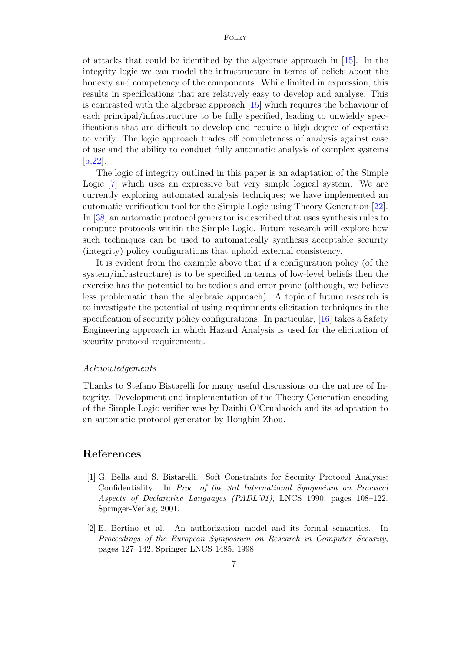of attacks that could be identified by the algebraic approach in [\[15\]](#page-7-5). In the integrity logic we can model the infrastructure in terms of beliefs about the honesty and competency of the components. While limited in expression, this results in specifications that are relatively easy to develop and analyse. This is contrasted with the algebraic approach [\[15\]](#page-7-5) which requires the behaviour of each principal/infrastructure to be fully specified, leading to unwieldy specifications that are difficult to develop and require a high degree of expertise to verify. The logic approach trades off completeness of analysis against ease of use and the ability to conduct fully automatic analysis of complex systems [\[5](#page-7-11)[,22\]](#page-8-15).

The logic of integrity outlined in this paper is an adaptation of the Simple Logic [\[7\]](#page-7-12) which uses an expressive but very simple logical system. We are currently exploring automated analysis techniques; we have implemented an automatic verification tool for the Simple Logic using Theory Generation [\[22\]](#page-8-15). In [\[38\]](#page-9-5) an automatic protocol generator is described that uses synthesis rules to compute protocols within the Simple Logic. Future research will explore how such techniques can be used to automatically synthesis acceptable security (integrity) policy configurations that uphold external consistency.

It is evident from the example above that if a configuration policy (of the system/infrastructure) is to be specified in terms of low-level beliefs then the exercise has the potential to be tedious and error prone (although, we believe less problematic than the algebraic approach). A topic of future research is to investigate the potential of using requirements elicitation techniques in the specification of security policy configurations. In particular, [\[16\]](#page-7-13) takes a Safety Engineering approach in which Hazard Analysis is used for the elicitation of security protocol requirements.

#### Acknowledgements

Thanks to Stefano Bistarelli for many useful discussions on the nature of Integrity. Development and implementation of the Theory Generation encoding of the Simple Logic verifier was by Daithi O'Crualaoich and its adaptation to an automatic protocol generator by Hongbin Zhou.

## References

- <span id="page-6-1"></span>[1] G. Bella and S. Bistarelli. Soft Constraints for Security Protocol Analysis: Confidentiality. In Proc. of the 3rd International Symposium on Practical Aspects of Declarative Languages (PADL'01), LNCS 1990, pages 108–122. Springer-Verlag, 2001.
- <span id="page-6-0"></span>[2] E. Bertino et al. An authorization model and its formal semantics. In Proceedings of the European Symposium on Research in Computer Security, pages 127–142. Springer LNCS 1485, 1998.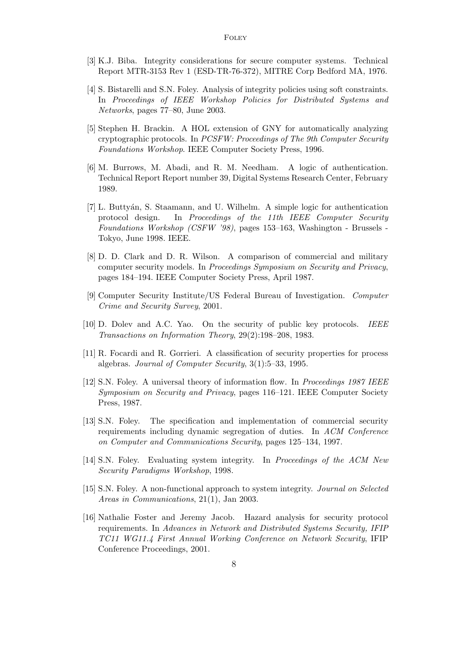- <span id="page-7-1"></span>[3] K.J. Biba. Integrity considerations for secure computer systems. Technical Report MTR-3153 Rev 1 (ESD-TR-76-372), MITRE Corp Bedford MA, 1976.
- <span id="page-7-8"></span>[4] S. Bistarelli and S.N. Foley. Analysis of integrity policies using soft constraints. In Proceedings of IEEE Workshop Policies for Distributed Systems and Networks, pages 77–80, June 2003.
- <span id="page-7-11"></span>[5] Stephen H. Brackin. A HOL extension of GNY for automatically analyzing cryptographic protocols. In PCSFW: Proceedings of The 9th Computer Security Foundations Workshop. IEEE Computer Society Press, 1996.
- <span id="page-7-10"></span>[6] M. Burrows, M. Abadi, and R. M. Needham. A logic of authentication. Technical Report Report number 39, Digital Systems Research Center, February 1989.
- <span id="page-7-12"></span>[7] L. Butty´an, S. Staamann, and U. Wilhelm. A simple logic for authentication protocol design. In Proceedings of the 11th IEEE Computer Security Foundations Workshop (CSFW '98), pages 153–163, Washington - Brussels - Tokyo, June 1998. IEEE.
- <span id="page-7-2"></span>[8] D. D. Clark and D. R. Wilson. A comparison of commercial and military computer security models. In Proceedings Symposium on Security and Privacy, pages 184–194. IEEE Computer Society Press, April 1987.
- <span id="page-7-0"></span>[9] Computer Security Institute/US Federal Bureau of Investigation. Computer Crime and Security Survey, 2001.
- <span id="page-7-9"></span>[10] D. Dolev and A.C. Yao. On the security of public key protocols. IEEE Transactions on Information Theory, 29(2):198–208, 1983.
- <span id="page-7-7"></span>[11] R. Focardi and R. Gorrieri. A classification of security properties for process algebras. Journal of Computer Security, 3(1):5–33, 1995.
- <span id="page-7-6"></span>[12] S.N. Foley. A universal theory of information flow. In Proceedings 1987 IEEE Symposium on Security and Privacy, pages 116–121. IEEE Computer Society Press, 1987.
- <span id="page-7-3"></span>[13] S.N. Foley. The specification and implementation of commercial security requirements including dynamic segregation of duties. In ACM Conference on Computer and Communications Security, pages 125–134, 1997.
- <span id="page-7-4"></span>[14] S.N. Foley. Evaluating system integrity. In Proceedings of the ACM New Security Paradigms Workshop, 1998.
- <span id="page-7-5"></span>[15] S.N. Foley. A non-functional approach to system integrity. Journal on Selected Areas in Communications, 21(1), Jan 2003.
- <span id="page-7-13"></span>[16] Nathalie Foster and Jeremy Jacob. Hazard analysis for security protocol requirements. In Advances in Network and Distributed Systems Security, IFIP TC11 WG11.4 First Annual Working Conference on Network Security, IFIP Conference Proceedings, 2001.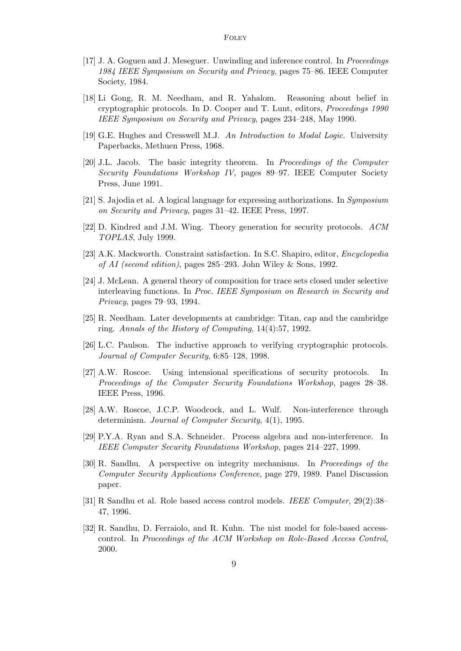- <span id="page-8-6"></span>[17] J. A. Goguen and J. Meseguer. Unwinding and inference control. In Proceedings 1984 IEEE Symposium on Security and Privacy, pages 75–86. IEEE Computer Society, 1984.
- <span id="page-8-14"></span>[18] Li Gong, R. M. Needham, and R. Yahalom. Reasoning about belief in cryptographic protocols. In D. Cooper and T. Lunt, editors, Proceedings 1990 IEEE Symposium on Security and Privacy, pages 234–248, May 1990.
- <span id="page-8-11"></span>[19] G.E. Hughes and Cresswell M.J. An Introduction to Modal Logic. University Paperbacks, Methuen Press, 1968.
- <span id="page-8-5"></span>[20] J.L. Jacob. The basic integrity theorem. In Proceedings of the Computer Security Foundations Workshop IV, pages 89–97. IEEE Computer Society Press, June 1991.
- <span id="page-8-4"></span>[21] S. Jajodia et al. A logical language for expressing authorizations. In Symposium on Security and Privacy, pages 31–42. IEEE Press, 1997.
- <span id="page-8-15"></span>[22] D. Kindred and J.M. Wing. Theory generation for security protocols. ACM TOPLAS, July 1999.
- <span id="page-8-10"></span>[23] A.K. Mackworth. Constraint satisfaction. In S.C. Shapiro, editor, Encyclopedia of AI (second edition), pages 285–293. John Wiley & Sons, 1992.
- <span id="page-8-9"></span>[24] J. McLean. A general theory of composition for trace sets closed under selective interleaving functions. In Proc. IEEE Symposium on Research in Security and Privacy, pages 79–93, 1994.
- <span id="page-8-1"></span>[25] R. Needham. Later developments at cambridge: Titan, cap and the cambridge ring. Annals of the History of Computing, 14(4):57, 1992.
- <span id="page-8-12"></span>[26] L.C. Paulson. The inductive approach to verifying cryptographic protocols. Journal of Computer Security, 6:85–128, 1998.
- <span id="page-8-13"></span>[27] A.W. Roscoe. Using intensional specifications of security protocols. In Proceedings of the Computer Security Foundations Workshop, pages 28–38. IEEE Press, 1996.
- <span id="page-8-7"></span>[28] A.W. Roscoe, J.C.P. Woodcock, and L. Wulf. Non-interference through determinism. Journal of Computer Security, 4(1), 1995.
- <span id="page-8-8"></span>[29] P.Y.A. Ryan and S.A. Schneider. Process algebra and non-interference. In IEEE Computer Security Foundations Workshop, pages 214–227, 1999.
- <span id="page-8-0"></span>[30] R. Sandhu. A perspective on integrity mechanisms. In Proceedings of the Computer Security Applications Conference, page 279, 1989. Panel Discussion paper.
- <span id="page-8-2"></span>[31] R Sandhu et al. Role based access control models. IEEE Computer, 29(2):38– 47, 1996.
- <span id="page-8-3"></span>[32] R. Sandhu, D. Ferraiolo, and R. Kuhn. The nist model for fole-based accesscontrol. In Proceedings of the ACM Workshop on Role-Based Access Control, 2000.